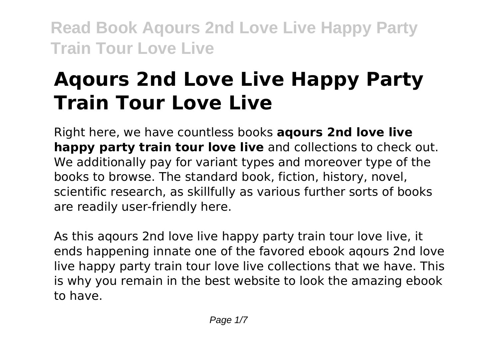# **Aqours 2nd Love Live Happy Party Train Tour Love Live**

Right here, we have countless books **aqours 2nd love live happy party train tour love live** and collections to check out. We additionally pay for variant types and moreover type of the books to browse. The standard book, fiction, history, novel, scientific research, as skillfully as various further sorts of books are readily user-friendly here.

As this aqours 2nd love live happy party train tour love live, it ends happening innate one of the favored ebook aqours 2nd love live happy party train tour love live collections that we have. This is why you remain in the best website to look the amazing ebook to have.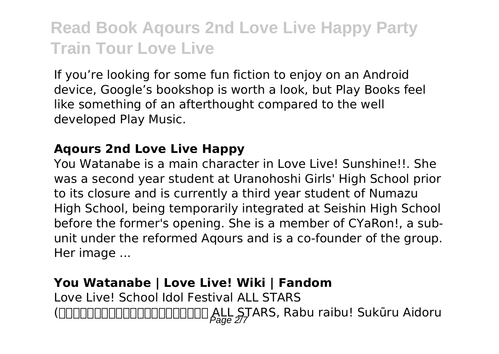If you're looking for some fun fiction to enjoy on an Android device, Google's bookshop is worth a look, but Play Books feel like something of an afterthought compared to the well developed Play Music.

#### **Aqours 2nd Love Live Happy**

You Watanabe is a main character in Love Live! Sunshine!!. She was a second year student at Uranohoshi Girls' High School prior to its closure and is currently a third year student of Numazu High School, being temporarily integrated at Seishin High School before the former's opening. She is a member of CYaRon!, a subunit under the reformed Aqours and is a co-founder of the group. Her image ...

### **You Watanabe | Love Live! Wiki | Fandom** Love Live! School Idol Festival ALL STARS (DDDDDDDDDDDDDDDDDDDDDDD ALL STARS, Rabu raibu! Sukūru Aidoru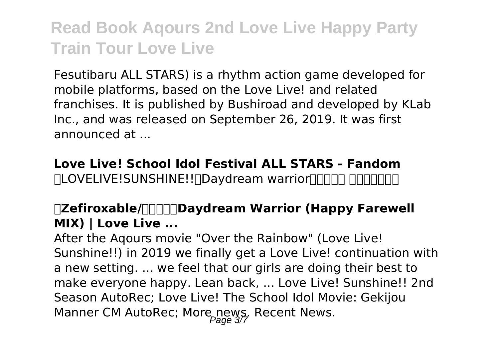Fesutibaru ALL STARS) is a rhythm action game developed for mobile platforms, based on the Love Live! and related franchises. It is published by Bushiroad and developed by KLab Inc., and was released on September 26, 2019. It was first announced at ...

**Love Live! School Idol Festival ALL STARS - Fandom** FILOVELIVE!SUNSHINE!!∏Davdream warriorΠΠΠΠ ΠΠΠΠΠΠΠ

#### **【Zefiroxable/独家授权】Daydream Warrior (Happy Farewell MIX) | Love Live ...**

After the Aqours movie "Over the Rainbow" (Love Live! Sunshine!!) in 2019 we finally get a Love Live! continuation with a new setting. ... we feel that our girls are doing their best to make everyone happy. Lean back, ... Love Live! Sunshine!! 2nd Season AutoRec; Love Live! The School Idol Movie: Gekijou Manner CM AutoRec; More news, Recent News.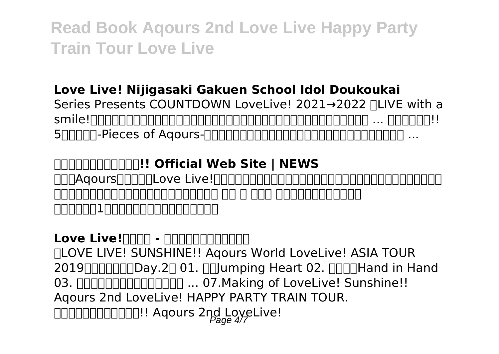#### **Love Live! Nijigasaki Gakuen School Idol Doukoukai**

Series Presents COUNTDOWN LoveLive! 2021→2022 ∏LIVE with a smile!〜」のガチャを含む一部オフィシャルグッズの事後受注生産販売が決定いたしました。 ... サンシャイン!! 5 $R$ 

**ラブライブ!サンシャイン!! Official Web Site | NEWS** ENDAqoursENDENLove Live!FINDENDENDENDENDENDENDENDENDEN 已登錄的成員才可上舞台表演下,轉而為她們加油。 五木 ( いつき ,聲:金元壽子(日本)) <u> ANDONIAN ANDO ANDO AN</u>

### Love Live! $\Box$ nd - **nononononon**

「LOVE LIVE! SUNSHINE!! Aqours World LoveLive! ASIA TOUR 2019 THEORY.2001, Filly Hand Heart 02. FINE Hand in Hand 03. ダイスキだったらダイジョウブ! ... 07.Making of LoveLive! Sunshine!! Aqours 2nd LoveLive! HAPPY PARTY TRAIN TOUR. DODODODOOD!! Aqours 2nd LoveLive!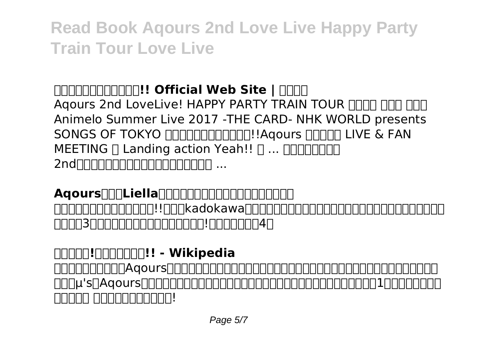### **GRATHERT !!! Official Web Site | RATH**

Agours 2nd LoveLive! HAPPY PARTY TRAIN TOUR FIFITH FIFITHER Animelo Summer Live 2017 -THE CARD- NHK WORLD presents SONGS OF TOKYO <u>חחחחחחחחחח!!</u>Agours חחחחם LIVE & FAN  $MEETING \sqcap$  Landing action Yeah!!  $\sqcap \dots \sqcap \square \sqcap \square \sqcap \square$ 2nd~ファンミあたり比べてみたんだけど期間 ...

**Aqours初期とLiellaのイベント開催数の比較してみたんだけど** 『ラブライブ!スーパースター!!』は、kadokawa(アスキー・メディアワークスブランド)、ランティス、サン

ライズの3者によるプロジェクト「ラブライブ!シリーズ」の第4作

**ラブライブ!スーパースター!! - Wikipedia** <u>NANANANANAAqoursNANANANANANANANANANANAN</u> <u>ΠΟβ</u>μ'sΩAqours<u>ΩΩΩΩΠΠΠΠΠΠΠΠΠΠΠΠΠΠΠΠΠΠΠΠΠΠΠΠΠΠΠΠΠΠΠΠ</u>ΠΠ 00000 0000000000!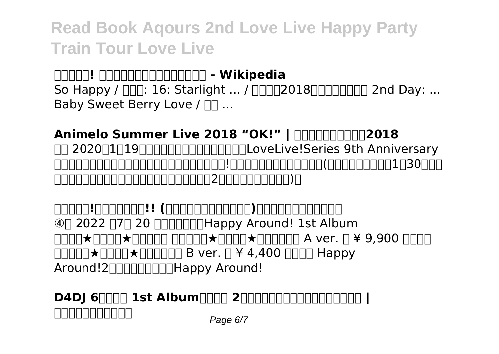**ラブライブ! スクールアイドルフェスティバル - Wikipedia** So Happy /  $\Pi \Pi$ : 16: Starlight ... /  $\Pi \Pi \Pi$ 2018 $\Pi \Pi \Pi \Pi \Pi \Pi$  2nd Day: ... Baby Sweet Berry Love / nn ...

**Animelo Summer Live 2018 "OK!" | FERRITHER 12018** FIT 2020 | 19 2020 | LOVELIVE! Series 9th Anniversary ラブライブ!フェス」にて発表された、『ラブライブ!シリーズ』の新プロジェクト(現場では情報公開は1月30日と表 記されていたが、反響が大きかったからか実際は2日前倒しになっている)。

**ラブライブ!スーパースター!! (らぶらいぶすーぱーすたー)とは【ピクシブ百科事典】** ④< 2022 年7月 20 日(水)発売>Happy Around! 1st Album  $\Box \Box \Box \star \Box \Box \Box \star \Box \Box \Box \Box \star \Box \Box \Box \star \Box \Box \Box \Box$  A ver.  $\Box$  ¥ 9,900  $\Box \Box \Box$  $\Box\Box\Box\Box\star\Box\Box\Box\star\Box\Box\Box\Box\;B\;\text{ver.}\; \Box\;4\;4,400\;\Box\Box\Box\;\text{Happy}$ Around!2nnnnnnnnHappy Around!

**D4DJ 6日日日 1st Album日日日 2日日日日日日日日日日日日日 ブシロードミュージック** Page 6/7